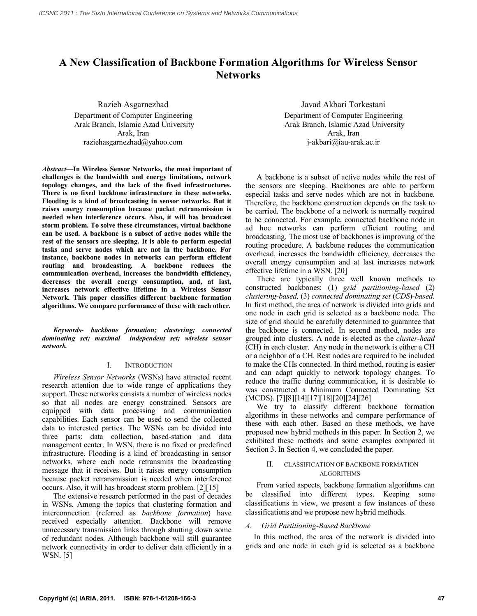# **A New Classification of Backbone Formation Algorithms for Wireless Sensor Networks**

Razieh Asgarnezhad Department of Computer Engineering Arak Branch, Islamic Azad University Arak, Iran raziehasgarnezhad@yahoo.com

*Abstract***—In Wireless Sensor Networks***,* **the most important of challenges is the bandwidth and energy limitations, network topology changes, and the lack of the fixed infrastructures. There is no fixed backbone infrastructure in these networks. Flooding is a kind of broadcasting in sensor networks. But it raises energy consumption because packet retransmission is needed when interference occurs. Also, it will has broadcast storm problem. To solve these circumstances, virtual backbone can be used. A backbone is a subset of active nodes while the rest of the sensors are sleeping. It is able to perform especial tasks and serve nodes which are not in the backbone. For instance, backbone nodes in networks can perform efficient routing and broadcasting. A backbone reduces the communication overhead, increases the bandwidth efficiency, decreases the overall energy consumption, and, at last, increases network effective lifetime in a Wireless Sensor Network. This paper classifies different backbone formation algorithms. We compare performance of these with each other.**

*Keywords- backbone formation; clustering; connected dominating set; maximal independent set; wireless sensor network.*

#### I. INTRODUCTION

*Wireless Sensor Networks* (WSNs) have attracted recent research attention due to wide range of applications they support. These networks consists a number of wireless nodes so that all nodes are energy constrained. Sensors are equipped with data processing and communication capabilities. Each sensor can be used to send the collected data to interested parties. The WSNs can be divided into three parts: data collection, based-station and data management center. In WSN, there is no fixed or predefined infrastructure. Flooding is a kind of broadcasting in sensor networks, where each node retransmits the broadcasting message that it receives. But it raises energy consumption because packet retransmission is needed when interference occurs. Also, it will has broadcast storm problem. [2][15]

The extensive research performed in the past of decades in WSNs. Among the topics that clustering formation and interconnection (referred as *backbone formation*) have received especially attention. Backbone will remove unnecessary transmission links through shutting down some of redundant nodes. Although backbone will still guarantee network connectivity in order to deliver data efficiently in a WSN. [5]

Javad Akbari Torkestani Department of Computer Engineering Arak Branch, Islamic Azad University Arak, Iran j-akbari@iau-arak.ac.ir

A backbone is a subset of active nodes while the rest of the sensors are sleeping. Backbones are able to perform especial tasks and serve nodes which are not in backbone. Therefore, the backbone construction depends on the task to be carried. The backbone of a network is normally required to be connected. For example, connected backbone node in ad hoc networks can perform efficient routing and broadcasting. The most use of backbones is improving of the routing procedure. A backbone reduces the communication overhead, increases the bandwidth efficiency, decreases the overall energy consumption and at last increases network effective lifetime in a WSN. [20]

There are typically three well known methods to constructed backbones: (1) *grid partitioning-based* (2) *clustering-based,* (3) *connected dominating set* (*CDS*)*-based*. In first method, the area of network is divided into grids and one node in each grid is selected as a backbone node. The size of grid should be carefully determined to guarantee that the backbone is connected. In second method, nodes are grouped into clusters. A node is elected as the *cluster-head* (CH) in each cluster. Any node in the network is either a CH or a neighbor of a CH. Rest nodes are required to be included to make the CHs connected. In third method, routing is easier and can adapt quickly to network topology changes. To reduce the traffic during communication, it is desirable to was constructed a Minimum Connected Dominating Set (MCDS). [7][8][14][17][18][20][24][26]

We try to classify different backbone formation algorithms in these networks and compare performance of these with each other. Based on these methods, we have proposed new hybrid methods in this paper. In Section 2, we exhibited these methods and some examples compared in Section 3. In Section 4, we concluded the paper.

## II. CLASSIFICATION OF BACKBONE FORMATION ALGORITHMS

From varied aspects, backbone formation algorithms can be classified into different types. Keeping some classifications in view, we present a few instances of these classifications and we propose new hybrid methods.

## *A. Grid Partitioning-Based Backbone*

In this method, the area of the network is divided into grids and one node in each grid is selected as a backbone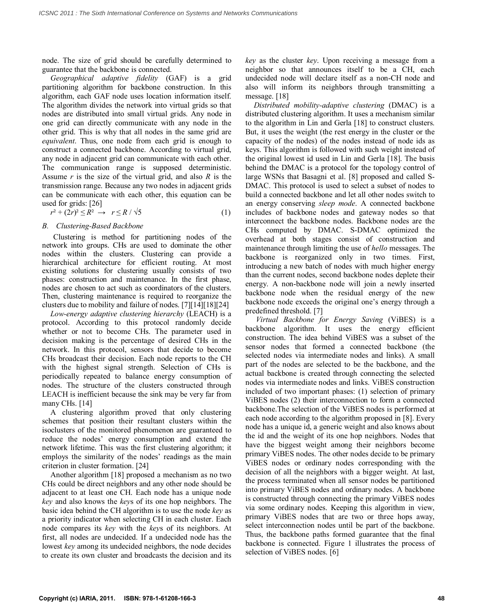node. The size of grid should be carefully determined to guarantee that the backbone is connected.

*Geographical adaptive fidelity* (GAF) is a grid partitioning algorithm for backbone construction. In this algorithm, each GAF node uses location information itself. The algorithm divides the network into virtual grids so that nodes are distributed into small virtual grids. Any node in one grid can directly communicate with any node in the other grid. This is why that all nodes in the same grid are *equivalent*. Thus, one node from each grid is enough to construct a connected backbone. According to virtual grid, any node in adjacent grid can communicate with each other. The communication range is supposed deterministic. Assume *r* is the size of the virtual grid, and also *R* is the transmission range. Because any two nodes in adjacent grids can be communicate with each other, this equation can be used for grids: [26]

$$
r^2 + (2r)^2 \le R^2 \rightarrow r \le R / \sqrt{5} \tag{1}
$$

# *B. Clustering-Based Backbone*

Clustering is method for partitioning nodes of the network into groups. CHs are used to dominate the other nodes within the clusters. Clustering can provide a hierarchical architecture for efficient routing. At most existing solutions for clustering usually consists of two phases: construction and maintenance. In the first phase, nodes are chosen to act such as coordinators of the clusters. Then, clustering maintenance is required to reorganize the clusters due to mobility and failure of nodes. [7][14][18][24]

*Low-energy adaptive clustering hierarchy* (LEACH) is a protocol. According to this protocol randomly decide whether or not to become CHs. The parameter used in decision making is the percentage of desired CHs in the network. In this protocol, sensors that decide to become CHs broadcast their decision. Each node reports to the CH with the highest signal strength. Selection of CHs is periodically repeated to balance energy consumption of nodes. The structure of the clusters constructed through LEACH is inefficient because the sink may be very far from many CHs. [14]

A clustering algorithm proved that only clustering schemes that position their resultant clusters within the isoclusters of the monitored phenomenon are guaranteed to reduce the nodes' energy consumption and extend the network lifetime. This was the first clustering algorithm; it employs the similarity of the nodes' readings as the main criterion in cluster formation. [24]

Another algorithm [18] proposed a mechanism as no two CHs could be direct neighbors and any other node should be adjacent to at least one CH. Each node has a unique node *key* and also knows the *key*s of its one hop neighbors. The basic idea behind the CH algorithm is to use the node *key* as a priority indicator when selecting CH in each cluster. Each node compares its *key* with the *key*s of its neighbors. At first, all nodes are undecided. If a undecided node has the lowest *key* among its undecided neighbors, the node decides to create its own cluster and broadcasts the decision and its *key* as the cluster *key*. Upon receiving a message from a neighbor so that announces itself to be a CH, each undecided node will declare itself as a non-CH node and also will inform its neighbors through transmitting a message. [18]

*Distributed mobility-adaptive clustering* (DMAC) is a distributed clustering algorithm. It uses a mechanism similar to the algorithm in Lin and Gerla [18] to construct clusters. But, it uses the weight (the rest energy in the cluster or the capacity of the nodes) of the nodes instead of node ids as keys. This algorithm is followed with such weight instead of the original lowest id used in Lin and Gerla [18]. The basis behind the DMAC is a protocol for the topology control of large WSNs that Basagni et al. [8] proposed and called S-DMAC. This protocol is used to select a subset of nodes to build a connected backbone and let all other nodes switch to an energy conserving *sleep mode*. A connected backbone includes of backbone nodes and gateway nodes so that interconnect the backbone nodes. Backbone nodes are the CHs computed by DMAC. S-DMAC optimized the overhead at both stages consist of construction and maintenance through limiting the use of *hello* messages. The backbone is reorganized only in two times. First, introducing a new batch of nodes with much higher energy than the current nodes, second backbone nodes deplete their energy. A non-backbone node will join a newly inserted backbone node when the residual energy of the new backbone node exceeds the original one's energy through a predefined threshold. [7]

*Virtual Backbone for Energy Saving* (ViBES) is a backbone algorithm. It uses the energy efficient construction. The idea behind ViBES was a subset of the sensor nodes that formed a connected backbone (the selected nodes via intermediate nodes and links). A small part of the nodes are selected to be the backbone, and the actual backbone is created through connecting the selected nodes via intermediate nodes and links. ViBES construction included of two important phases: (1) selection of primary ViBES nodes (2) their interconnection to form a connected backbone.The selection of the ViBES nodes is performed at each node according to the algorithm proposed in [8]. Every node has a unique id, a generic weight and also knows about the id and the weight of its one hop neighbors. Nodes that have the biggest weight among their neighbors become primary ViBES nodes. The other nodes decide to be primary ViBES nodes or ordinary nodes corresponding with the decision of all the neighbors with a bigger weight. At last, the process terminated when all sensor nodes be partitioned into primary ViBES nodes and ordinary nodes. A backbone is constructed through connecting the primary ViBES nodes via some ordinary nodes. Keeping this algorithm in view, primary ViBES nodes that are two or three hops away, select interconnection nodes until be part of the backbone. Thus, the backbone paths formed guarantee that the final backbone is connected. Figure 1 illustrates the process of selection of ViBES nodes. [6]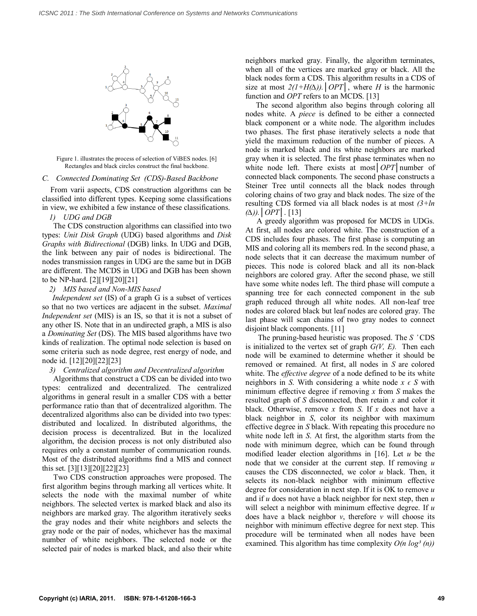

Figure 1. illustrates the process of selection of ViBES nodes. [6] Rectangles and black circles construct the final backbone.

*C. Connected Dominating Set (CDS)-Based Backbone*

From varii aspects, CDS construction algorithms can be classified into different types. Keeping some classifications in view, we exhibited a few instance of these classifications.

*1) UDG and DGB*

The CDS construction algorithms can classified into two types: *Unit Disk Graph* (UDG) based algorithms and *Disk Graphs with Bidirectional* (DGB) links. In UDG and DGB, the link between any pair of nodes is bidirectional. The nodes transmission ranges in UDG are the same but in DGB are different. The MCDS in UDG and DGB has been shown to be NP-hard. [2][19][20][21]

## *2) MIS based and Non-MIS based*

*Independent set* (IS) of a graph G is a subset of vertices so that no two vertices are adjacent in the subset. *Maximal Independent set* (MIS) is an IS, so that it is not a subset of any other IS. Note that in an undirected graph, a MIS is also a *Dominating Set* (DS). The MIS based algorithms have two kinds of realization. The optimal node selection is based on some criteria such as node degree, rest energy of node, and node id. [12][20][22][23]

*3) Centralized algorithm and Decentralized algorithm*

Algorithms that construct a CDS can be divided into two types: centralized and decentralized. The centralized algorithms in general result in a smaller CDS with a better performance ratio than that of decentralized algorithm. The decentralized algorithms also can be divided into two types: distributed and localized. In distributed algorithms, the decision process is decentralized. But in the localized algorithm, the decision process is not only distributed also requires only a constant number of communication rounds. Most of the distributed algorithms find a MIS and connect this set. [3][13][20][22][23]

Two CDS construction approaches were proposed. The first algorithm begins through marking all vertices white. It selects the node with the maximal number of white neighbors. The selected vertex is marked black and also its neighbors are marked gray. The algorithm iteratively seeks the gray nodes and their white neighbors and selects the gray node or the pair of nodes, whichever has the maximal number of white neighbors. The selected node or the selected pair of nodes is marked black, and also their white neighbors marked gray. Finally, the algorithm terminates, when all of the vertices are marked gray or black. All the black nodes form a CDS. This algorithm results in a CDS of size at most  $2(I+H(\Delta))$ . *OPT*, where *H* is the harmonic function and *OPT* refers to an MCDS. [13]

The second algorithm also begins through coloring all nodes white. A *piece* is defined to be either a connected black component or a white node. The algorithm includes two phases. The first phase iteratively selects a node that yield the maximum reduction of the number of pieces. A node is marked black and its white neighbors are marked gray when it is selected. The first phase terminates when no white node left. There exists at most*│OPT│*number of connected black components. The second phase constructs a Steiner Tree until connects all the black nodes through coloring chains of two gray and black nodes. The size of the resulting CDS formed via all black nodes is at most *(3+ln (∆)).│OPT│*. [13]

A greedy algorithm was proposed for MCDS in UDGs. At first, all nodes are colored white. The construction of a CDS includes four phases. The first phase is computing an MIS and coloring all its members red. In the second phase, a node selects that it can decrease the maximum number of pieces. This node is colored black and all its non-black neighbors are colored gray. After the second phase, we still have some white nodes left. The third phase will compute a spanning tree for each connected component in the sub graph reduced through all white nodes. All non-leaf tree nodes are colored black but leaf nodes are colored gray. The last phase will scan chains of two gray nodes to connect disjoint black components. [11]

The pruning-based heuristic was proposed. The *S '* CDS is initialized to the vertex set of graph  $G(V, E)$ . Then each node will be examined to determine whether it should be removed or remained. At first, all nodes in *S* are colored white. The *effective degree* of a node defined to be its white neighbors in *S*. With considering a white node  $x \in S$  with minimum effective degree if removing *x* from *S* makes the resulted graph of *S* disconnected, then retain *x* and color it black. Otherwise, remove *x* from *S*. If *x* does not have a black neighbor in *S*, color its neighbor with maximum effective degree in *S* black. With repeating this procedure no white node left in *S*. At first, the algorithm starts from the node with minimum degree, which can be found through modified leader election algorithms in [16]. Let *u* be the node that we consider at the current step. If removing *u*  causes the CDS disconnected, we color *u* black. Then, it selects its non-black neighbor with minimum effective degree for consideration in next step. If it is OK to remove *u* and if *u* does not have a black neighbor for next step, then *u*  will select a neighbor with minimum effective degree. If *u*  does have a black neighbor *v*, therefore *v* will choose its neighbor with minimum effective degree for next step. This procedure will be terminated when all nodes have been examined. This algorithm has time complexity  $O(n \log^3(n))$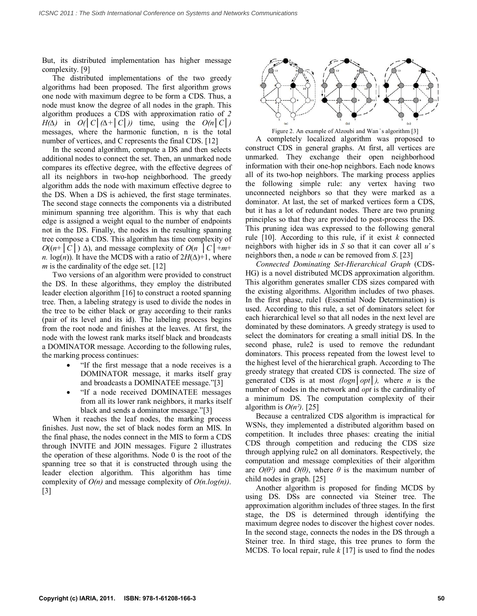But, its distributed implementation has higher message complexity. [9]

The distributed implementations of the two greedy algorithms had been proposed. The first algorithm grows one node with maximum degree to be form a CDS. Thus, a node must know the degree of all nodes in the graph. This algorithm produces a CDS with approximation ratio of *2 H(* $\Delta$ ) in *O(*|  $C$ |( $\Delta$ +|  $C$ |)) time, using the  $O(n|C|)$ messages, where the harmonic function, n is the total number of vertices, and C represents the final CDS. [12]

In the second algorithm, compute a DS and then selects additional nodes to connect the set. Then, an unmarked node compares its effective degree, with the effective degrees of all its neighbors in two-hop neighborhood. The greedy algorithm adds the node with maximum effective degree to the DS. When a DS is achieved, the first stage terminates. The second stage connects the components via a distributed minimum spanning tree algorithm. This is why that each edge is assigned a weight equal to the number of endpoints not in the DS. Finally, the nodes in the resulting spanning tree compose a CDS. This algorithm has time complexity of *O*(( $n$ +  $|C|$ ) ∆), and message complexity of *O*( $n$   $|C|$ + $m$ + *n*. log(*n*)). It have the MCDS with a ratio of  $2H(\Delta)+1$ , where *m* is the cardinality of the edge set. [12]

Two versions of an algorithm were provided to construct the DS. In these algorithms, they employ the distributed leader election algorithm [16] to construct a rooted spanning tree. Then, a labeling strategy is used to divide the nodes in the tree to be either black or gray according to their ranks (pair of its level and its id). The labeling process begins from the root node and finishes at the leaves. At first, the node with the lowest rank marks itself black and broadcasts a DOMINATOR message. According to the following rules, the marking process continues:

- "If the first message that a node receives is a DOMINATOR message, it marks itself gray and broadcasts a DOMINATEE message."[3]
- "If a node received DOMINATEE messages from all its lower rank neighbors, it marks itself black and sends a dominator message."[3]

When it reaches the leaf nodes, the marking process finishes. Just now, the set of black nodes form an MIS. In the final phase, the nodes connect in the MIS to form a CDS through INVITE and JOIN messages. Figure 2 illustrates the operation of these algorithms. Node 0 is the root of the spanning tree so that it is constructed through using the leader election algorithm. This algorithm has time complexity of *O(n)* and message complexity of *O(n.log(n))*. [3]



Figure 2. An example of Alzoubi and Wan's algorithm [3]

A completely localized algorithm was proposed to construct CDS in general graphs. At first, all vertices are unmarked. They exchange their open neighborhood information with their one-hop neighbors. Each node knows all of its two-hop neighbors. The marking process applies the following simple rule: any vertex having two unconnected neighbors so that they were marked as a dominator. At last, the set of marked vertices form a CDS, but it has a lot of redundant nodes. There are two pruning principles so that they are provided to post-process the DS. This pruning idea was expressed to the following general rule [10]. According to this rule, if it exist *k* connected neighbors with higher ids in *S* so that it can cover all *u̕* s neighbors then, a node *u* can be removed from *S*. [23]

*Connected Dominating Set-Hierarchical Graph* (CDS-HG) is a novel distributed MCDS approximation algorithm. This algorithm generates smaller CDS sizes compared with the existing algorithms. Algorithm includes of two phases. In the first phase, rule1 (Essential Node Determination) is used. According to this rule, a set of dominators select for each hierarchical level so that all nodes in the next level are dominated by these dominators. A greedy strategy is used to select the dominators for creating a small initial DS. In the second phase, rule2 is used to remove the redundant dominators. This process repeated from the lowest level to the highest level of the hierarchical graph. According to The greedy strategy that created CDS is connected. The size of generated CDS is at most *(logn│opt│),* where *n* is the number of nodes in the network and *opt* is the cardinality of a minimum DS. The computation complexity of their algorithm is  $O(n^2)$ . [25]

Because a centralized CDS algorithm is impractical for WSNs, they implemented a distributed algorithm based on competition. It includes three phases: creating the initial CDS through competition and reducing the CDS size through applying rule2 on all dominators. Respectively, the computation and message complexities of their algorithm are  $O(\theta^2)$  and  $O(\theta)$ , where  $\theta$  is the maximum number of child nodes in graph. [25]

Another algorithm is proposed for finding MCDS by using DS. DSs are connected via Steiner tree. The approximation algorithm includes of three stages. In the first stage, the DS is determined through identifying the maximum degree nodes to discover the highest cover nodes. In the second stage, connects the nodes in the DS through a Steiner tree. In third stage, this tree prunes to form the MCDS. To local repair, rule *k* [17] is used to find the nodes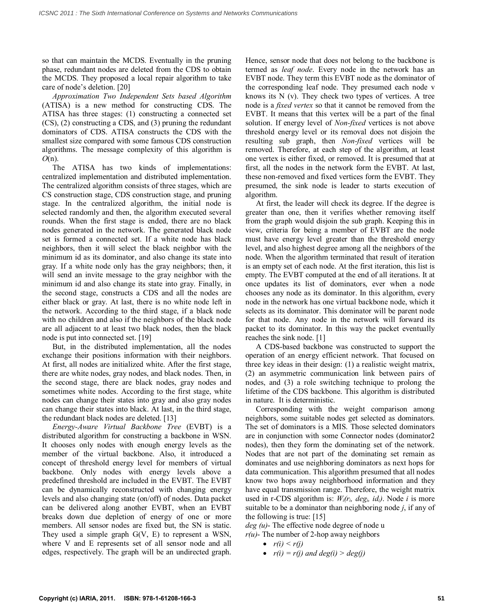so that can maintain the MCDS. Eventually in the pruning phase, redundant nodes are deleted from the CDS to obtain the MCDS. They proposed a local repair algorithm to take care of node's deletion. [20]

*Approximation Two Independent Sets based Algorithm* (ATISA) is a new method for constructing CDS. The ATISA has three stages: (1) constructing a connected set (CS), (2) constructing a CDS, and (3) pruning the redundant dominators of CDS. ATISA constructs the CDS with the smallest size compared with some famous CDS construction algorithms. The message complexity of this algorithm is *O*(n).

The ATISA has two kinds of implementations: centralized implementation and distributed implementation. The centralized algorithm consists of three stages, which are CS construction stage, CDS construction stage, and pruning stage. In the centralized algorithm, the initial node is selected randomly and then, the algorithm executed several rounds. When the first stage is ended, there are no black nodes generated in the network. The generated black node set is formed a connected set. If a white node has black neighbors, then it will select the black neighbor with the minimum id as its dominator, and also change its state into gray. If a white node only has the gray neighbors; then, it will send an invite message to the gray neighbor with the minimum id and also change its state into gray. Finally, in the second stage, constructs a CDS and all the nodes are either black or gray. At last, there is no white node left in the network. According to the third stage, if a black node with no children and also if the neighbors of the black node are all adjacent to at least two black nodes, then the black node is put into connected set. [19]

But, in the distributed implementation, all the nodes exchange their positions information with their neighbors. At first, all nodes are initialized white. After the first stage, there are white nodes, gray nodes, and black nodes. Then, in the second stage, there are black nodes, gray nodes and sometimes white nodes. According to the first stage, white nodes can change their states into gray and also gray nodes can change their states into black. At last, in the third stage, the redundant black nodes are deleted. [13]

*Energy-Aware Virtual Backbone Tree* (EVBT) is a distributed algorithm for constructing a backbone in WSN. It chooses only nodes with enough energy levels as the member of the virtual backbone. Also, it introduced a concept of threshold energy level for members of virtual backbone. Only nodes with energy levels above a predefined threshold are included in the EVBT. The EVBT can be dynamically reconstructed with changing energy levels and also changing state (on/off) of nodes. Data packet can be delivered along another EVBT, when an EVBT breaks down due depletion of energy of one or more members. All sensor nodes are fixed but, the SN is static. They used a simple graph  $G(V, E)$  to represent a WSN, where V and E represents set of all sensor node and all edges, respectively. The graph will be an undirected graph. Hence, sensor node that does not belong to the backbone is termed as *leaf node*. Every node in the network has an EVBT node. They term this EVBT node as the dominator of the corresponding leaf node. They presumed each node v knows its N (v). They check two types of vertices. A tree node is a *fixed vertex* so that it cannot be removed from the EVBT. It means that this vertex will be a part of the final solution. If energy level of *Non-fixed* vertices is not above threshold energy level or its removal does not disjoin the resulting sub graph, then *Non-fixed* vertices will be removed. Therefore, at each step of the algorithm, at least one vertex is either fixed, or removed. It is presumed that at first, all the nodes in the network form the EVBT. At last, these non-removed and fixed vertices form the EVBT. They presumed, the sink node is leader to starts execution of algorithm.

At first, the leader will check its degree. If the degree is greater than one, then it verifies whether removing itself from the graph would disjoin the sub graph. Keeping this in view, criteria for being a member of EVBT are the node must have energy level greater than the threshold energy level, and also highest degree among all the neighbors of the node. When the algorithm terminated that result of iteration is an empty set of each node. At the first iteration, this list is empty. The EVBT computed at the end of all iterations. It at once updates its list of dominators, ever when a node chooses any node as its dominator. In this algorithm, every node in the network has one virtual backbone node, which it selects as its dominator. This dominator will be parent node for that node. Any node in the network will forward its packet to its dominator. In this way the packet eventually reaches the sink node. [1]

A CDS-based backbone was constructed to support the operation of an energy efficient network. That focused on three key ideas in their design: (1) a realistic weight matrix, (2) an asymmetric communication link between pairs of nodes, and (3) a role switching technique to prolong the lifetime of the CDS backbone. This algorithm is distributed in nature. It is deterministic.

Corresponding with the weight comparison among neighbors, some suitable nodes get selected as dominators. The set of dominators is a MIS. Those selected dominators are in conjunction with some Connector nodes (dominator2 nodes), then they form the dominating set of the network. Nodes that are not part of the dominating set remain as dominates and use neighboring dominators as next hops for data communication. This algorithm presumed that all nodes know two hops away neighborhood information and they have equal transmission range. Therefore, the weight matrix used in r-CDS algorithm is:  $W_i(r_i, deg_i, id_i)$ . Node *i* is more suitable to be a dominator than neighboring node *j*, if any of the following is true: [15]

*deg (u)*- The effective node degree of node u  $r(u)$ - The number of 2-hop away neighbors

- $r(i) \leq r(j)$
- $r(i) = r(j)$  and  $deg(i) > deg(j)$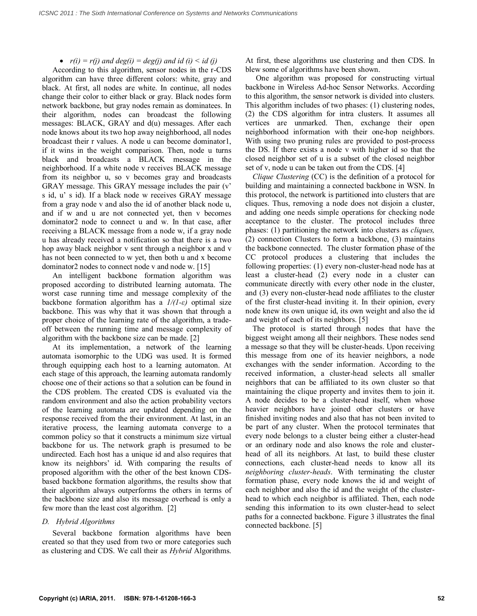# •  $r(i) = r(j)$  and  $deg(i) = deg(j)$  and  $id(i) \leq id$  (*i*)

According to this algorithm, sensor nodes in the r-CDS algorithm can have three different colors: white, gray and black. At first, all nodes are white. In continue, all nodes change their color to either black or gray. Black nodes form network backbone, but gray nodes remain as dominatees. In their algorithm, nodes can broadcast the following messages: BLACK, GRAY and d(u) messages. After each node knows about its two hop away neighborhood, all nodes broadcast their r values. A node u can become dominator1, if it wins in the weight comparison. Then, node u turns black and broadcasts a BLACK message in the neighborhood. If a white node v receives BLACK message from its neighbor u, so v becomes gray and broadcasts GRAY message. This GRAY message includes the pair (v' s id, u' s id). If a black node w receives GRAY message from a gray node v and also the id of another black node u, and if w and u are not connected yet, then v becomes dominator2 node to connect u and w. In that case, after receiving a BLACK message from a node w, if a gray node u has already received a notification so that there is a two hop away black neighbor v sent through a neighbor x and v has not been connected to w yet, then both u and x become dominator2 nodes to connect node v and node w. [15]

An intelligent backbone formation algorithm was proposed according to distributed learning automata. The worst case running time and message complexity of the backbone formation algorithm has a *1/(1-ε)* optimal size backbone. This was why that it was shown that through a proper choice of the learning rate of the algorithm, a tradeoff between the running time and message complexity of algorithm with the backbone size can be made. [2]

At its implementation, a network of the learning automata isomorphic to the UDG was used. It is formed through equipping each host to a learning automaton. At each stage of this approach, the learning automata randomly choose one of their actions so that a solution can be found in the CDS problem. The created CDS is evaluated via the random environment and also the action probability vectors of the learning automata are updated depending on the response received from the their environment. At last, in an iterative process, the learning automata converge to a common policy so that it constructs a minimum size virtual backbone for us. The network graph is presumed to be undirected. Each host has a unique id and also requires that know its neighbors' id. With comparing the results of proposed algorithm with the other of the best known CDSbased backbone formation algorithms, the results show that their algorithm always outperforms the others in terms of the backbone size and also its message overhead is only a few more than the least cost algorithm. [2]

# *D. Hybrid Algorithms*

Several backbone formation algorithms have been created so that they used from two or more categories such as clustering and CDS. We call their as *Hybrid* Algorithms. At first, these algorithms use clustering and then CDS. In blew some of algorithms have been shown.

One algorithm was proposed for constructing virtual backbone in Wireless Ad-hoc Sensor Networks. According to this algorithm, the sensor network is divided into clusters. This algorithm includes of two phases: (1) clustering nodes, (2) the CDS algorithm for intra clusters. It assumes all vertices are unmarked. Then, exchange their open neighborhood information with their one-hop neighbors. With using two pruning rules are provided to post-process the DS. If there exists a node v with higher id so that the closed neighbor set of u is a subset of the closed neighbor set of v, node u can be taken out from the CDS. [4]

*Clique Clustering* (CC) is the definition of a protocol for building and maintaining a connected backbone in WSN. In this protocol, the network is partitioned into clusters that are cliques. Thus, removing a node does not disjoin a cluster, and adding one needs simple operations for checking node acceptance to the cluster. The protocol includes three phases: (1) partitioning the network into clusters as *cliques,* (2) connection Clusters to form a backbone, (3) maintains the backbone connected. The cluster formation phase of the CC protocol produces a clustering that includes the following properties: (1) every non-cluster-head node has at least a cluster-head (2) every node in a cluster can communicate directly with every other node in the cluster, and (3) every non-cluster-head node affiliates to the cluster of the first cluster-head inviting it. In their opinion, every node knew its own unique id, its own weight and also the id and weight of each of its neighbors. [5]

The protocol is started through nodes that have the biggest weight among all their neighbors. These nodes send a message so that they will be cluster-heads. Upon receiving this message from one of its heavier neighbors, a node exchanges with the sender information. According to the received information, a cluster-head selects all smaller neighbors that can be affiliated to its own cluster so that maintaining the clique property and invites them to join it. A node decides to be a cluster-head itself, when whose heavier neighbors have joined other clusters or have finished inviting nodes and also that has not been invited to be part of any cluster. When the protocol terminates that every node belongs to a cluster being either a cluster-head or an ordinary node and also knows the role and clusterhead of all its neighbors. At last, to build these cluster connections, each cluster-head needs to know all its *neighboring cluster-heads*. With terminating the cluster formation phase, every node knows the id and weight of each neighbor and also the id and the weight of the clusterhead to which each neighbor is affiliated. Then, each node sending this information to its own cluster-head to select paths for a connected backbone. Figure 3 illustrates the final connected backbone. [5]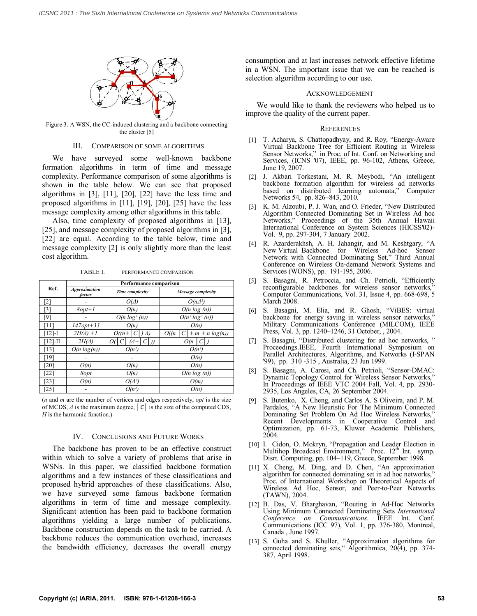

Figure 3. A WSN, the CC-induced clustering and a backbone connecting the cluster [5]

## III. COMPARISON OF SOME ALGORITHMS

We have surveyed some well-known backbone formation algorithms in term of time and message complexity. Performance comparison of some algorithms is shown in the table below. We can see that proposed algorithms in [3], [11], [20], [22] have the less time and proposed algorithms in [11], [19], [20], [25] have the less message complexity among other algorithms in this table.

Also, time complexity of proposed algorithms in [13], [25], and message complexity of proposed algorithms in [3], [22] are equal. According to the table below, time and message complexity [2] is only slightly more than the least cost algorithm.

| Ref.       | <b>Performance comparison</b>  |                  |                               |
|------------|--------------------------------|------------------|-------------------------------|
|            | <b>Approximation</b><br>factor | Time complexity  | Message complexity            |
| [2]        |                                | $O(\Delta)$      | $O(n\Delta^2)$                |
| [3]        | $8opt+1$                       | O(n)             | $O(n \log(n))$                |
| [9]        |                                | $O(n \log^3(n))$ | $O(n^2 \log^3(n))$            |
| [11]       | $147opt + 33$                  | O(n)             | O(n)                          |
| $[12]-I$   | $2H(\Delta) + 1$               | $O((n+$<br>A)    | O(n)<br>$+ m + n log(n)$<br>C |
| $[12]$ -II | $2H(\Delta)$                   | (1+<br>Oı        | O(n)                          |
| [13]       | $O(n \log(n))$                 | $O(n^2)$         | $O(n^2)$                      |
| [19]       |                                |                  | O(n)                          |
| [20]       | O(n)                           | O(n)             | O(n)                          |
| [22]       | 8opt                           | O(n)             | $O(n \log(n))$                |
| [23]       | O(n)                           | $O(\Delta^3)$    | $\Theta(m)$                   |
| [25]       |                                | $O(n^2)$         | O(n)                          |

TABLE I. PERFORMANCE COMPARISON

(*n* and *m* are the number of vertices and edges respectively, *opt* is the size of MCDS, *Δ* is the maximum degree, *│C│* is the size of the computed CDS, *H* is the harmonic function.)

#### IV. CONCLUSIONS AND FUTURE WORKS

The backbone has proven to be an effective construct within which to solve a variety of problems that arise in WSNs. In this paper, we classified backbone formation algorithms and a few instances of these classifications and proposed hybrid approaches of these classifications. Also, we have surveyed some famous backbone formation algorithms in term of time and message complexity. Significant attention has been paid to backbone formation algorithms yielding a large number of publications. Backbone construction depends on the task to be carried. A backbone reduces the communication overhead, increases the bandwidth efficiency, decreases the overall energy consumption and at last increases network effective lifetime in a WSN. The important issue that we can be reached is selection algorithm according to our use.

#### ACKNOWLEDGEMENT

We would like to thank the reviewers who helped us to improve the quality of the current paper.

#### **REFERENCES**

- [1] T. Acharya, S. Chattopadhyay, and R. Roy, "Energy-Aware Virtual Backbone Tree for Efficient Routing in Wireless Sensor Networks," in Proc. of Int. Conf. on Networking and Services, (ICNS '07), IEEE, pp. 96-102, Athens, Greece, June 19, 2007.
- [2] J. Akbari Torkestani, M. R. Meybodi, "An intelligent backbone formation algorithm for wireless ad networks based on distributed learning automata," Computer Networks 54, pp. 826–843, 2010.
- [3] K. M. Alzoubi, P. J. Wan, and O. Frieder, "New Distributed Algorithm Connected Dominating Set in Wireless Ad hoc Networks," Proceedings of the 35th Annual Hawaii International Conference on System Sciences (HICSS'02)- Vol. 9, pp. 297-304, 7 January 2002.
- [4] R. Azarderakhsh, A. H. Jahangir, and M. Keshtgary, "A New Virtual Backbone for Wireless Ad-hoc Sensor Network with Connected Dominating Set," Third Annual Conference on Wireless On-demand Network Systems and Services (WONS), pp. 191-195, 2006.
- [5] S. Basagni, R. Petroccia, and Ch. Petrioli, "Efficiently reconfigurable backbones for wireless sensor networks, Computer Communications, Vol. 31, Issue 4, pp. 668-698, 5 March 2008.
- [6] S. Basagni, M. Elia, and R. Ghosh, "ViBES: virtual backbone for energy saving in wireless sensor networks,' Military Communications Conference (MILCOM), IEEE Press, Vol. 3, pp. 1240–1246, 31 October, , 2004.
- [7] S. Basagni, "Distributed clustering for ad hoc networks, " Proceedings.IEEE, Fourth International Symposium on Parallel Architectures, Algorithms, and Networks (I-SPAN '99), pp. 310 -315 , Australia, 23 Jun 1999.
- [8] S. Basagni, A. Carosi, and Ch. Petrioli, "Sensor-DMAC: Dynamic Topology Control for Wireless Sensor Networks," In Proceedings of IEEE VTC 2004 Fall, Vol. 4, pp. 2930- 2935, Los Angeles, CA, 26 September 2004.
- S. Butenko, X. Cheng, and Carlos A. S Oliveira, and P. M. Pardalos, "A New Heuristic For The Minimum Connected Dominating Set Problem On Ad Hoc Wireless Networks, Recent Developments in Cooperative Control and Optimization, pp. 61-73, Kluwer Academic Publishers, 2004.
- [10] I. Cidon, O. Mokryn, "Propagation and Leader Election in Multihop Broadcast Environment," Proc. 12<sup>th</sup> Int. symp. Disrt. Computing, pp. 104–119, Greece, September 1998.
- [11] X. Cheng, M. Ding, and D. Chen, "An approximation algorithm for connected dominating set in ad hoc networks," Proc. of International Workshop on Theoretical Aspects of Wireless Ad Hoc, Sensor, and Peer-to-Peer Networks (TAWN), 2004.
- [12] B. Das, V. Bharghavan, "Routing in Ad-Hoc Networks Using Minimum Connected Dominating Sets *International Conference on Communications*. IEEE Int. Conf. Communications (ICC 97), Vol. 1, pp. 376-380, Montreal, Canada , June 1997.
- [13] S. Guha and S. Khuller, "Approximation algorithms for connected dominating sets," Algorithmica, 20(4), pp. 374- 387, April 1998.